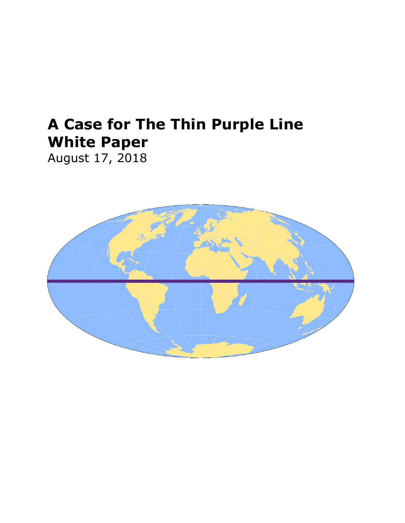# **A Case for The Thin Purple Line White Paper**

August 17, 2018

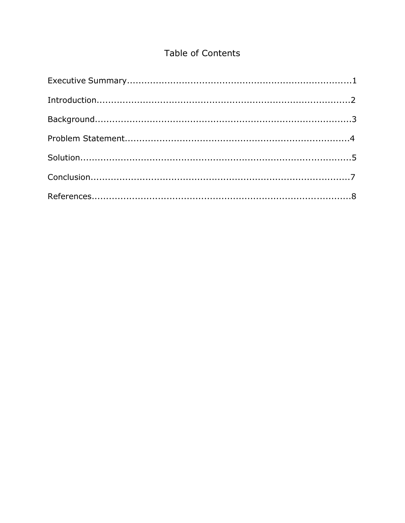# Table of Contents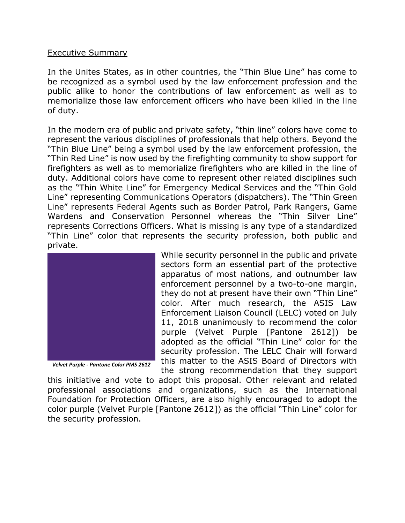### Executive Summary

In the Unites States, as in other countries, the "Thin Blue Line" has come to be recognized as a symbol used by the law enforcement profession and the public alike to honor the contributions of law enforcement as well as to memorialize those law enforcement officers who have been killed in the line of duty.

In the modern era of public and private safety, "thin line" colors have come to represent the various disciplines of professionals that help others. Beyond the "Thin Blue Line" being a symbol used by the law enforcement profession, the "Thin Red Line" is now used by the firefighting community to show support for firefighters as well as to memorialize firefighters who are killed in the line of duty. Additional colors have come to represent other related disciplines such as the "Thin White Line" for Emergency Medical Services and the "Thin Gold Line" representing Communications Operators (dispatchers). The "Thin Green Line" represents Federal Agents such as Border Patrol, Park Rangers, Game Wardens and Conservation Personnel whereas the "Thin Silver Line" represents Corrections Officers. What is missing is any type of a standardized "Thin Line" color that represents the security profession, both public and private.



*Velvet Purple - Pantone Color PMS 2612*

While security personnel in the public and private sectors form an essential part of the protective apparatus of most nations, and outnumber law enforcement personnel by a two-to-one margin, they do not at present have their own "Thin Line" color. After much research, the ASIS Law Enforcement Liaison Council (LELC) voted on July 11, 2018 unanimously to recommend the color purple (Velvet Purple [Pantone 2612]) be adopted as the official "Thin Line" color for the security profession. The LELC Chair will forward this matter to the ASIS Board of Directors with the strong recommendation that they support

this initiative and vote to adopt this proposal. Other relevant and related professional associations and organizations, such as the International Foundation for Protection Officers, are also highly encouraged to adopt the color purple (Velvet Purple [Pantone 2612]) as the official "Thin Line" color for the security profession.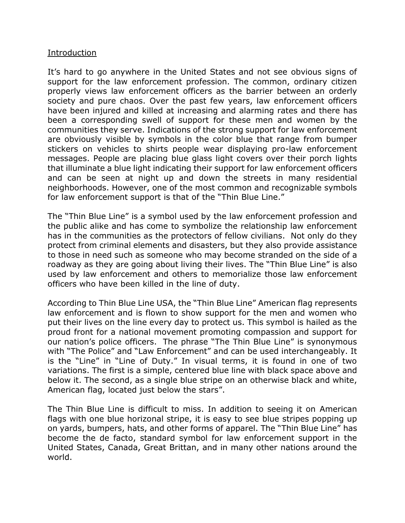### Introduction

It's hard to go anywhere in the United States and not see obvious signs of support for the law enforcement profession. The common, ordinary citizen properly views law enforcement officers as the barrier between an orderly society and pure chaos. Over the past few years, law enforcement officers have been injured and killed at increasing and alarming rates and there has been a corresponding swell of support for these men and women by the communities they serve. Indications of the strong support for law enforcement are obviously visible by symbols in the color blue that range from bumper stickers on vehicles to shirts people wear displaying pro-law enforcement messages. People are placing blue glass light covers over their porch lights that illuminate a blue light indicating their support for law enforcement officers and can be seen at night up and down the streets in many residential neighborhoods. However, one of the most common and recognizable symbols for law enforcement support is that of the "Thin Blue Line."

The "Thin Blue Line" is a symbol used by the law enforcement profession and the public alike and has come to symbolize the relationship law enforcement has in the communities as the protectors of fellow civilians. Not only do they protect from criminal elements and disasters, but they also provide assistance to those in need such as someone who may become stranded on the side of a roadway as they are going about living their lives. The "Thin Blue Line" is also used by law enforcement and others to memorialize those law enforcement officers who have been killed in the line of duty.

According to Thin Blue Line USA, the "Thin Blue Line" American flag represents law enforcement and is flown to show support for the men and women who put their lives on the line every day to protect us. This symbol is hailed as the proud front for a national movement promoting compassion and support for our nation's police officers. The phrase "The Thin Blue Line" is synonymous with "The Police" and "Law Enforcement" and can be used interchangeably. It is the "Line" in "Line of Duty." In visual terms, it is found in one of two variations. The first is a simple, centered blue line with black space above and below it. The second, as a single blue stripe on an otherwise black and white, American flag, located just below the stars".

The Thin Blue Line is difficult to miss. In addition to seeing it on American flags with one blue horizonal stripe, it is easy to see blue stripes popping up on yards, bumpers, hats, and other forms of apparel. The "Thin Blue Line" has become the de facto, standard symbol for law enforcement support in the United States, Canada, Great Brittan, and in many other nations around the world.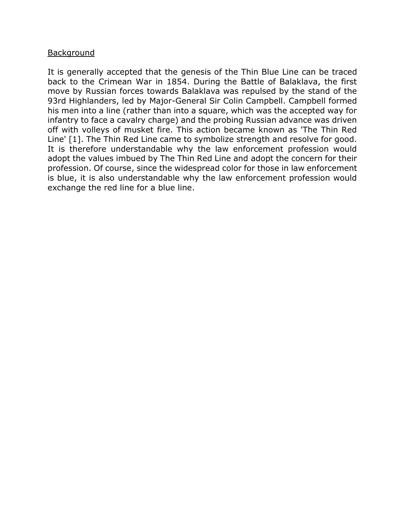# Background

It is generally accepted that the genesis of the Thin Blue Line can be traced back to the Crimean War in 1854. During the Battle of Balaklava, the first move by Russian forces towards Balaklava was repulsed by the stand of the 93rd Highlanders, led by Major-General Sir Colin Campbell. Campbell formed his men into a line (rather than into a square, which was the accepted way for infantry to face a cavalry charge) and the probing Russian advance was driven off with volleys of musket fire. This action became known as 'The Thin Red Line' [1]. The Thin Red Line came to symbolize strength and resolve for good. It is therefore understandable why the law enforcement profession would adopt the values imbued by The Thin Red Line and adopt the concern for their profession. Of course, since the widespread color for those in law enforcement is blue, it is also understandable why the law enforcement profession would exchange the red line for a blue line.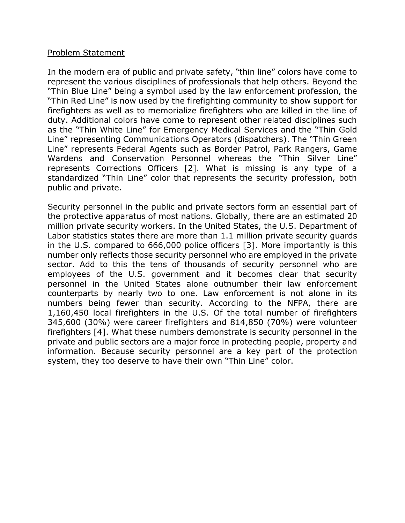# Problem Statement

In the modern era of public and private safety, "thin line" colors have come to represent the various disciplines of professionals that help others. Beyond the "Thin Blue Line" being a symbol used by the law enforcement profession, the "Thin Red Line" is now used by the firefighting community to show support for firefighters as well as to memorialize firefighters who are killed in the line of duty. Additional colors have come to represent other related disciplines such as the "Thin White Line" for Emergency Medical Services and the "Thin Gold Line" representing Communications Operators (dispatchers). The "Thin Green Line" represents Federal Agents such as Border Patrol, Park Rangers, Game Wardens and Conservation Personnel whereas the "Thin Silver Line" represents Corrections Officers [2]. What is missing is any type of a standardized "Thin Line" color that represents the security profession, both public and private.

Security personnel in the public and private sectors form an essential part of the protective apparatus of most nations. Globally, there are an estimated 20 million private security workers. In the United States, the U.S. Department of Labor statistics states there are more than 1.1 million private security guards in the U.S. compared to 666,000 police officers [3]. More importantly is this number only reflects those security personnel who are employed in the private sector. Add to this the tens of thousands of security personnel who are employees of the U.S. government and it becomes clear that security personnel in the United States alone outnumber their law enforcement counterparts by nearly two to one. Law enforcement is not alone in its numbers being fewer than security. According to the NFPA, there are 1,160,450 local firefighters in the U.S. Of the total number of firefighters 345,600 (30%) were career firefighters and 814,850 (70%) were volunteer firefighters [4]. What these numbers demonstrate is security personnel in the private and public sectors are a major force in protecting people, property and information. Because security personnel are a key part of the protection system, they too deserve to have their own "Thin Line" color.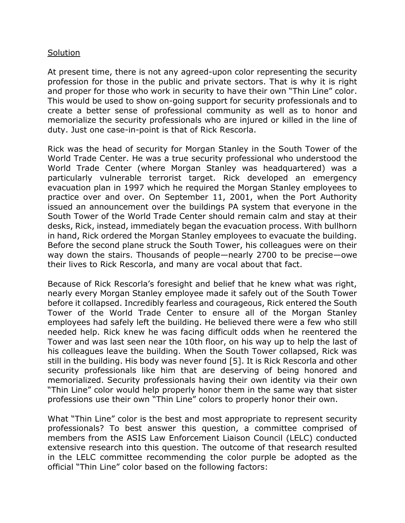### **Solution**

At present time, there is not any agreed-upon color representing the security profession for those in the public and private sectors. That is why it is right and proper for those who work in security to have their own "Thin Line" color. This would be used to show on-going support for security professionals and to create a better sense of professional community as well as to honor and memorialize the security professionals who are injured or killed in the line of duty. Just one case-in-point is that of Rick Rescorla.

Rick was the head of security for Morgan Stanley in the South Tower of the World Trade Center. He was a true security professional who understood the World Trade Center (where Morgan Stanley was headquartered) was a particularly vulnerable terrorist target. Rick developed an emergency evacuation plan in 1997 which he required the Morgan Stanley employees to practice over and over. On September 11, 2001, when the Port Authority issued an announcement over the buildings PA system that everyone in the South Tower of the World Trade Center should remain calm and stay at their desks, Rick, instead, immediately began the evacuation process. With bullhorn in hand, Rick ordered the Morgan Stanley employees to evacuate the building. Before the second plane struck the South Tower, his colleagues were on their way down the stairs. Thousands of people—nearly 2700 to be precise—owe their lives to Rick Rescorla, and many are vocal about that fact.

Because of Rick Rescorla's foresight and belief that he knew what was right, nearly every Morgan Stanley employee made it safely out of the South Tower before it collapsed. Incredibly fearless and courageous, Rick entered the South Tower of the World Trade Center to ensure all of the Morgan Stanley employees had safely left the building. He believed there were a few who still needed help. Rick knew he was facing difficult odds when he reentered the Tower and was last seen near the 10th floor, on his way up to help the last of his colleagues leave the building. When the South Tower collapsed, Rick was still in the building. His body was never found [5]. It is Rick Rescorla and other security professionals like him that are deserving of being honored and memorialized. Security professionals having their own identity via their own "Thin Line" color would help properly honor them in the same way that sister professions use their own "Thin Line" colors to properly honor their own.

What "Thin Line" color is the best and most appropriate to represent security professionals? To best answer this question, a committee comprised of members from the ASIS Law Enforcement Liaison Council (LELC) conducted extensive research into this question. The outcome of that research resulted in the LELC committee recommending the color purple be adopted as the official "Thin Line" color based on the following factors: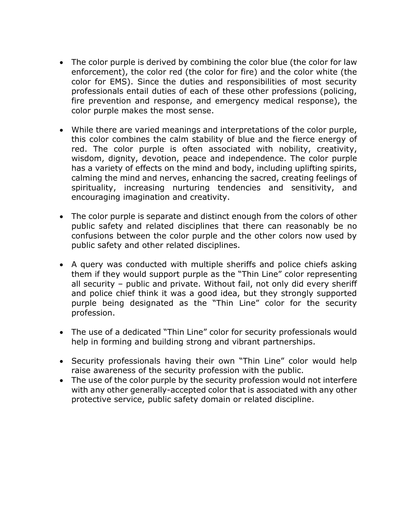- The color purple is derived by combining the color blue (the color for law enforcement), the color red (the color for fire) and the color white (the color for EMS). Since the duties and responsibilities of most security professionals entail duties of each of these other professions (policing, fire prevention and response, and emergency medical response), the color purple makes the most sense.
- While there are varied meanings and interpretations of the color purple, this color combines the calm stability of blue and the fierce energy of red. The color purple is often associated with nobility, creativity, wisdom, dignity, devotion, peace and independence. The color purple has a variety of effects on the mind and body, including uplifting spirits, calming the mind and nerves, enhancing the sacred, creating feelings of spirituality, increasing nurturing tendencies and sensitivity, and encouraging imagination and creativity.
- The color purple is separate and distinct enough from the colors of other public safety and related disciplines that there can reasonably be no confusions between the color purple and the other colors now used by public safety and other related disciplines.
- A query was conducted with multiple sheriffs and police chiefs asking them if they would support purple as the "Thin Line" color representing all security – public and private. Without fail, not only did every sheriff and police chief think it was a good idea, but they strongly supported purple being designated as the "Thin Line" color for the security profession.
- The use of a dedicated "Thin Line" color for security professionals would help in forming and building strong and vibrant partnerships.
- Security professionals having their own "Thin Line" color would help raise awareness of the security profession with the public.
- The use of the color purple by the security profession would not interfere with any other generally-accepted color that is associated with any other protective service, public safety domain or related discipline.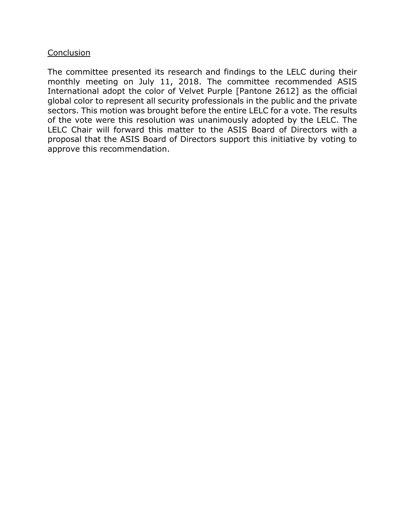# **Conclusion**

The committee presented its research and findings to the LELC during their monthly meeting on July 11, 2018. The committee recommended ASIS International adopt the color of Velvet Purple [Pantone 2612] as the official global color to represent all security professionals in the public and the private sectors. This motion was brought before the entire LELC for a vote. The results of the vote were this resolution was unanimously adopted by the LELC. The LELC Chair will forward this matter to the ASIS Board of Directors with a proposal that the ASIS Board of Directors support this initiative by voting to approve this recommendation.